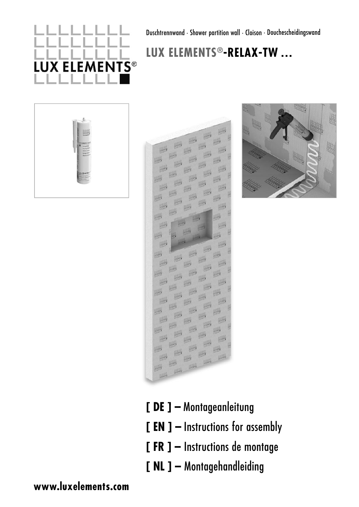# **X ELEMENTS®**

Duschtrennwand · Shower partition wall · Cloison · Douchescheidingswand

# **LUX ELEMENTS®-RELAX-TW …**





- **[ DE ] –** Montageanleitung
- **[ EN ] –** Instructions for assembly
- **[ FR ] –** Instructions de montage
- **[ NL ] –** Montagehandleiding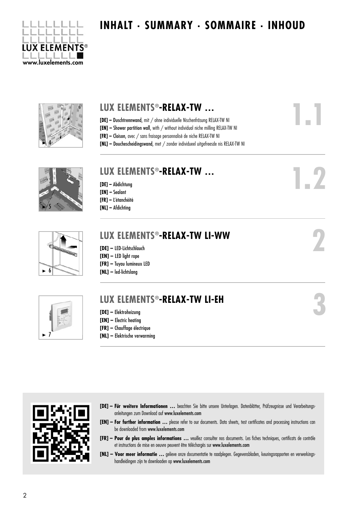

# **INHALT . SUMMARY . SOMMAIRE . INHOUD**



### **LUX ELEMENTS®-RELAX-TW … [DE] –** Duschtrennwand, mit / ohne individuelle Nischenfräsung RELAX-TW NI **[EN] –** Shower partition wall, with / without individual niche milling RELAX-TW NI **[FR] –** Cloison, avec / sans fraisage personnalisé de niche RELAX-TW NI **[NL] –** Douchescheidingswand, met / zonder individueel uitgefreesde nis RELAX-TW NI **[DE] –** Abdichtung **[EN] –** Sealant **[FR] –** L'étanchéité **[NL] –** Afdichting **LUX ELEMENTS®-RELAX-TW … LUX ELEMENTS®-RELAX-TW LI-WW 1.1 1.2**



5

## **[DE] –** LED-Lichtschlauch

- **[EN]** LED light rope
- 
- **[FR]** Tuyau lumineux LED **[NL] –** led-lichtslang
- $\blacksquare$

# **LUX ELEMENTS®-RELAX-TW LI-EH**

- **[DE]** Elektroheizung
- **[EN]** Electric heating
- **[FR]** Chauffage électrique
- **[NL]** Elektrische verwarming



**[DE] – Für weitere Informationen ...** beachten Sie bitte unsere Unterlagen. Datenblätter, Prüfzeugnisse und Verarbeitungsan leitungen zum Download auf www.luxelements.com

**2**

**3**

- **[EN] – For further information …** please refer to our documents. Data sheets, test certificates and processing instructions can be downloaded from www.luxelements.com
- **[FR] – Pour de plus amples informations …** veuillez consulter nos documents. Les fiches techniques, certificats de contrôle et instructions de mise en oeuvre peuvent être téléchargés sur www.luxelements.com
- **[NL] Voor meer informatie …** gelieve onze documentatie te raadplegen. Gegevensbladen, keuringsrapporten en verwerkings handleidingen zijn te downloaden op www.luxelements.com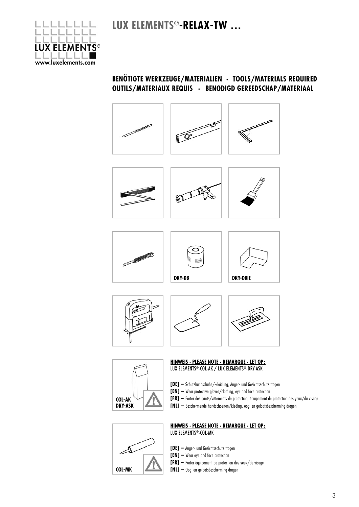

#### **BENÖTIGTE WERKZEUGE/MATERIALIEN · TOOLS/MATERIALS REQUIRED OUTILS/MATERIAUX REQUIS · BENODIGD GEREEDSCHAP/MATERIAAL**



























#### **HINWEIS · PLEASE NOTE · REMARQUE · LET OP:**  LUX ELEMENTS®-COL-AK / LUX ELEMENTS®-DRY-ASK

- **[DE]** Schutzhandschuhe/-kleidung, Augen- und Gesichtsschutz tragen
- **[EN] –** Wear protective gloves/clothing, eye and face protection
- **[FR] –** Porter des gants/vêtements de protection, équipement de protection des yeux/du visage
- **[NL] –** Beschermende handschoenen/kleding, oog- en gelaatsbescherming dragen



#### **HINWEIS · PLEASE NOTE · REMARQUE · LET OP:**  LUX ELEMENTS®-COL-MK

- **[DE]** Augen- und Gesichtsschutz tragen
- **[EN] –** Wear eye and face protection
- **[FR] –** Porter équipement de protection des yeux/du visage
- **[NL] –** Oog- en gelaatsbescherming dragen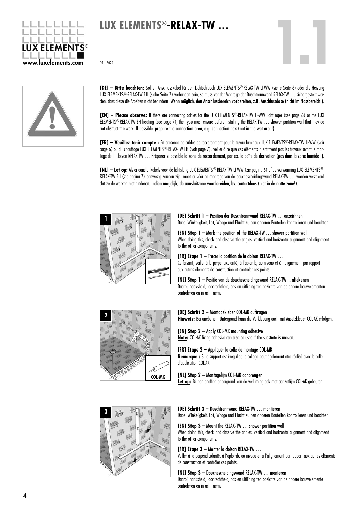

# **LUX ELEMENTS®-RELAX-TW …**

01 | 2022



**[DE] – Bitte beachten:** Sollten Anschlusskabel für den Lichtschlauch LUX ELEMENTS®-RELAX-TW LI-WW (siehe Seite 6) oder die Heizung LUX ELEMENTS®-RELAX-TW EH (siehe Seite 7) vorhanden sein, so muss vor der Montage der Duschtrennwand RELAX-TW … sichergestellt werden, dass diese die Arbeiten nicht behindern. Wenn möglich, den Anschlussbereich vorbereiten, z.B. Anschlussdose (nicht im Nassbereich!).

**[EN] – Please observe:** If there are connecting cables for the LUX ELEMENTS®-RELAX-TW LI-WW light rope (see page 6) or the LUX ELEMENTS®-RELAX-TW EH heating (see page 7), then you must ensure before installing the RELAX-TW … shower partition wall that they do not obstruct the work. If possible, prepare the connection area, e.g. connection box (not in the wet area!).

**[FR] – Veuillez tenir compte :** En présence de câbles de raccordement pour le tuyau lumineux LUX ELEMENTS®-RELAX-TW LI-WW (voir page 6) ou du chauffage LUX ELEMENTS®-RELAX-TW EH (voir page 7), veiller à ce que ces éléments n'entravent pas les travaux avant le montage de la cloison RELAX-TW … Préparer si possible la zone de raccordement, par ex. la boîte de dérivation (pas dans la zone humide !).

**[NL] – Let op:** Als er aansluitkabels voor de lichtslang LUX ELEMENTS®-RELAX-TW LI-WW (zie pagina 6) of de verwarming LUX ELEMENTS®- RELAX-TW EH (zie pagina 7) aanwezig zouden zijn, moet er vóór de montage van de douchescheidingswand RELAX-TW … worden verzekerd dat ze de werken niet hinderen. Indien mogelijk, de aansluitzone voorbereiden, bv. contactdoos (niet in de natte zone!).



**[DE] Schritt 1 –** Position der Duschtrennwand RELAX-TW … anzeichnen Dabei Winkeligkeit, Lot, Waage und Flucht zu den anderen Bauteilen kontrollieren und beachten.

**1.1**

**[EN] Step 1 –** Mark the position of the RELAX-TW … shower partition wall When doing this, check and observe the angles, vertical and horizontal alignment and alignment to the other components.

#### **[FR] Etape 1 –** Tracer la position de la cloison RELAX-TW …

Ce faisant, veiller à la perpendicularité, à l'aplomb, au niveau et à l'alignement par rapport aux autres éléments de construction et contrôler ces points.

#### **[NL] Stap 1 –** Positie van de douchescheidingswand RELAX-TW ... aftekenen Daarbij haaksheid, loodrechtheid, pas en uitlijning ten opzichte van de andere bouwelementen controleren en in acht nemen.



#### **[DE] Schritt 2 –** Montagekleber COL-MK auftragen

**Hinweis:** Bei unebenem Untergrund kann die Verklebung auch mit Ansetzkleber COL-AK erfolgen.

#### **[EN] Step 2 –** Apply COL-MK mounting adhesive **Note:** COL-AK fixing adhesive can also be used if the substrate is uneven.

**[FR] Etape 2 –** Appliquer la colle de montage COL-MK **Remarque :** Si le support est irrégulier, le collage peut également être réalisé avec la colle d'application COL-AK.

#### **[NL] Stap 2 –** Montagelijm COL-MK aanbrengen

Let op: Bij een oneffen ondergrond kan de verlijming ook met aanzetlijm COL-AK gebeuren.



#### **[DE] Schritt 3 –** Duschtrennwand RELAX-TW … montieren

Dabei Winkeligkeit, Lot, Waage und Flucht zu den anderen Bauteilen kontrollieren und beachten.

#### **[EN] Step 3 –** Mount the RELAX-TW … shower partition wall

When doing this, check and observe the angles, vertical and horizontal alignment and alignment to the other components.

#### **[FR] Etape 3 –** Monter la cloison RELAX-TW …

Veiller à la perpendicularité, à l'aplomb, au niveau et à l'alignement par rapport aux autres éléments de construction et contrôler ces points.

#### **[NL] Stap 3 –** Douchescheidingswand RELAX-TW … monteren

Daarbij haaksheid, loodrechtheid, pas en uitlijning ten opzichte van de andere bouwelemente controleren en in acht nemen.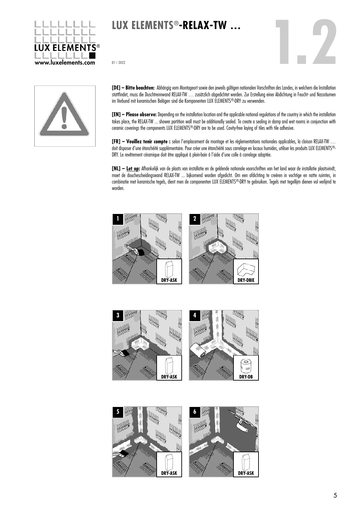

# **LUX ELEMENTS®-RELAX-TW …**

01 | 2022



**[DE] – Bitte beachten:** Abhängig vom Montageort sowie den jeweils gültigen nationalen Vorschriften des Landes, in welchem die Installation stattfindet, muss die Duschtrennwand RELAX-TW … zusätzlich abgedichtet werden. Zur Erstellung einer Abdichtung in Feucht- und Nassräumen im Verbund mit keramischen Belägen sind die Komponenten LUX ELEMENTS®-DRY zu verwenden.

**[EN] – Please observe:** Depending on the installation location and the applicable national regulations of the country in which the installation takes place, the RELAX-TW ... shower partition wall must be additionally sealed. To create a sealing in damp and wet rooms in conjunction with ceramic coverings the components LUX ELEMENTS®-DRY are to be used. Cavity-free laying of tiles with tile adhesive.

**[FR] – Veuillez tenir compte :** selon l'emplacement de montage et les règlementations nationales applicables, la cloison RELAX-TW … doit disposer d'une étanchéité supplémentaire. Pour créer une étanchéité sous carrelage en locaux humides, utiliser les produits LUX ELEMENTS®-DRY. Le revêtement céramique doit être appliqué à plein-bain à l'aide d'une colle à carrelage adaptée.

**[NL] – Let op:** Afhankelijk van de plaats van installatie en de geldende nationale voorschriften van het land waar de installatie plaatsvindt, moet de douchescheidingswand RELAX-TW ... bijkomend worden afgedicht. Om een afdichting te creëren in vochtige en natte ruimtes, in combinatie met keramische tegels, dient men de componenten LUX ELEMENTS®-DRY te gebruiken. Tegels met tegellijm dienen vol verlijmd te worden.





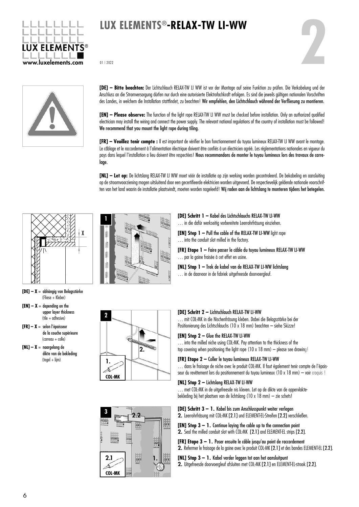

# **LUX ELEMENTS®-RELAX-TW LI-WW** LUX ELEMENTS<sup>®</sup>-RELAX-TW LI-WW<br>
20112022<br>
20112022





**[DE] – Bitte beachten:** Der Lichtschlauch RELAX-TW LI WW ist vor der Montage auf seine Funktion zu prüfen. Die Verkabelung und der Anschluss an die Stromversorgung dürfen nur durch eine autorisierte Elektrofachkraft erfolgen. Es sind die jeweils gültigen nationalen Vorschriften des Landes, in welchem die Installation stattfindet, zu beachten! Wir empfehlen, den Lichtschlauch während der Verfliesung zu montieren.

**[EN] – Please observe:** The function of the light rope RELAX-TW LI WW must be checked before installation. Only an authorized qualified electrician may install the wiring and connect the power supply. The relevant national regulations of the country of installation must be followed! We recommend that you mount the light rope during tiling.

**[FR] – Veuillez tenir compte :** Il est important de vérifier le bon fonctionnement du tuyau lumineux RELAX-TW LI WW avant le montage. Le câblage et le raccordement à l'alimentation électrique doivent être confiés à un électricien agréé. Les réglementations nationales en vigueur du pays dans lequel l'installation a lieu doivent être respectées! Nous recommandons de monter le tuyau lumineux lors des travaux de carrelage.

**[NL] – Let op:** De lichtslang RELAX-TW LI WW moet vóór de installatie op zijn werking worden gecontroleerd. De bekabeling en aansluiting op de stroomvoorziening mogen uitsluitend door een gecertifieerde elektricien worden uitgevoerd. De respectievelijk geldende nationale voorschriften van het land waarin de installatie plaatsvindt, moeten worden nageleefd! Wij raden aan de lichtslang te monteren tijdens het betegelen.



- **[DE] X** = abhängig von Belagsstärke (Fliese + Kleber)
- $[EN] X =$  depending on the upper layer thickness (tile + adhesive)
- **[FR] X** = selon l'épaisseur de la couche supérieure  $(c^{\text{unreau}} + \text{colle})$
- **[NL] X** = naargelang de dikte van de bekleding (tegel + lijm)



**2**

**COL-MK**

1.

**[DE] Schritt 1 –** Kabel des Lichtschlauchs RELAX-TW LI-WW … in die dafür werkseitig vorbereitete Leerrohrfräsung einziehen.

**[EN] Step 1 – Pull the cable of the RELAX-TW LI-WW light rope** … into the conduit slot milled in the factory.

**[FR] Etape 1 –** Faire passer le câble du tuyau lumineux RELAX-TW LI-WW … par la gaine fraisée à cet effet en usine.

**[NL] Stap 1 –** Trek de kabel van de RELAX-TW LI-WW lichtslang ... in de daarvoor in de fabriek uitgefreesde doorvoergleuf.

#### **[DE] Schritt 2 –** Lichtschlauch RELAX-TW LI-WW

… mit COL-MK in die Nischenfräsung kleben. Dabei die Belagsstärke bei der Positionierung des Lichtschlauchs (10 x 18 mm) beachten – siehe Skizze!

#### **[EN] Step 2 –** Glue the RELAX-TW LI-WW

… into the milled niche using COL-MK. Pay attention to the thickness of the top covering when positioning the light rope (10 x 18 mm) – please see drawing!

#### **[FR] Etape 2 –** Coller le tuyau lumineux RELAX-TW LI-WW

... dans le fraisage de niche avec le produit COL-MK. Il faut également tenir compte de l'épaisseur du revêtement lors du positionnement du tuyau lumineux (10 x 18 mm) – voir croquis !

#### **[NL] Stap 2 –** Lichtslang RELAX-TW LI-WW

… met COL-MK in de uitgefreesde nis kleven. Let op de dikte van de oppervlaktebekleding bij het plaatsen van de lichtslang (10 x 18 mm) – zie schets!

#### **[DE] Schritt 3 –** 1. Kabel bis zum Anschlusspunkt weiter verlegen

2. Leerrohrfräsung mit COL-MK [2.1] und ELEMENT-EL-Streifen [2.2] verschließen.

**[EN] Step 3 –** 1. Continue laying the cable up to the connection point 2. Seal the milled conduit slot with COL-MK [2.1] and ELEMENT-EL strips [2.2].

**[FR] Etape 3 –** 1. Poser ensuite le câble jusqu'au point de raccordement 2. Refermer le fraisage de la gaine avec le produit COL-MK [2.1] et des bandes ELEMENT-EL [2.2].

**[NL] Stap 3 –** 1. Kabel verder leggen tot aan het aansluitpunt 2. Uitgefreesde doorvoergleuf afsluiten met COL-MK [2.1] en ELEMENT-EL-strook [2.2].



2.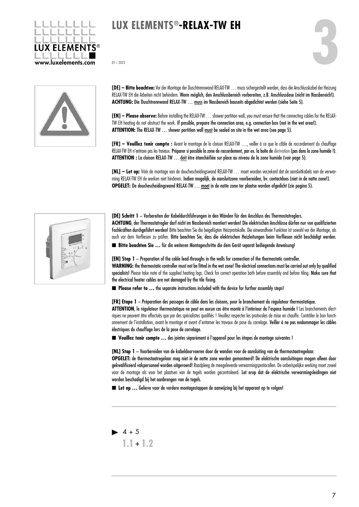

# **LUX ELEMENTS®-RELAX-TW EH**



**[DE] – Bitte beachten:**Vor der Montage der Duschtrennwand RELAX-TW … muss sichergestellt werden, dass die Anschlusskabel der Heizung RELAX-TW EH die Arbeiten nicht behindern. Wenn möglich, den Anschlussbereich vorbereiten, z.B. Anschlussdose (nicht im Nassbereich!). ACHTUNG: Die Duschtrennwand RELAX-TW ... muss im Nassbereich bauseits abgedichtet werden (siehe Seite 5).

**[EN] – Please observe:**Before installing the RELAX-TW … shower partition wall, you must ensure that the connecting cables for the RELAX-TW EH heating do not obstruct the work. If possible, prepare the connection area, e.g. connection box (not in the wet area!). **ATTENTION:** The RELAX-TW … shower partition wall must be sealed on site in the wet area (see page 5).

**[FR] – Veuillez tenir compte :** Avant le montage de la cloison RELAX-TW …, veiller à ce que le câble de raccordement du chauffage RELAX-TW EH n'entrave pas les travaux. Préparer si possible la zone de raccordement, par ex. la boîte de dérivation (pas dans la zone humide !). **ATTENTION :** La cloison RELAX-TW … doit être étanchéifiée sur place au niveau de la zone humide (voir page 5).

**[NL] – Let op:** Vóór de montage van de douchescheidingswand RELAX-TW … moet worden verzekerd dat de aansluitkabels van de verwarming RELAX-TW EH de werken niet hinderen. Indien mogelijk, de aansluitzone voorbereiden, bv. contactdoos (niet in de natte zone!). **OPGELET:** De douchescheidingswand RELAX-TW … moet in de natte zone ter plaatse worden afgedicht (zie pagina 5).

| ø                                           |
|---------------------------------------------|
| $\lambda$                                   |
| 405.4006158.50<br>я<br>C.<br>$\overline{2}$ |
| $\mathfrak{E}$<br>10                        |
|                                             |
|                                             |

**[DE] Schritt 1** – Vorbereiten der Kabeldurchführungen in den Wänden für den Anschluss des Thermostatreglers. **ACHTUNG**, der Thermostatregler darf nicht im Nassbereich montiert werden! Die elektrischen Anschlüsse dürfen nur von qualifizierten Fachkräften durchgeführt werden! Bitte beachten Sie die beigefügten Heizprotokolle. Die einwandfreie Funktion ist sowohl vor der Montage, als

auch vor dem Verfliesen zu prüfen. Bitte beachten Sie, dass die elektrischen Heizleitungen beim Verfliesen nicht beschädigt werden.

■ Bitte beachten Sie ... für die weiteren Montageschritte die dem Gerät separat beiliegende Anweisung!

**[EN] Step 1** – Preparation of the cable lead-throughs in the walls for connection of the thermostatic controller.

**WARNING:** the thermostatic controller must not be fitted in the wet zone! The electrical connections must be carried out only by qualified specialists! Please take note of the supplied heating logs. Check for correct operation both before assembly and before tiling. Make sure that the electrical heater cables are not damaged by the tile fixing.

■ **Please refer to ...** the separate instructions included with the device for further assembly steps!

#### **[FR] Etape 1** – Préparation des passages de câble dans les cloisons, pour le branchement du régulateur thermostatique.

**ATTENTION**, le régulateur thermostatique ne peut en aucun cas être monté à l'intérieur de l'espace humide ! Les branchements électriques ne peuvent être effectués que par des spécialistes qualifiés ! Veuillez respecter les protocoles de mise en chauffe. Contrôler le bon fonctionnement de l'installation, avant le montage et avant d'entamer les travaux de pose du carrelage. Veiller à ne pas endommager les câbles électriques du chauffage lors de la pose de carrelage.

n **Veuillez tenir compte …** des jointes séparément à l'appareil pour les étapes de montage suivantes !

**[NL] Stap 1** – Voorbereiden van de kabeldoorvoeren door de wanden voor de aansluiting van de thermostaatregelaar.

**OPGELET:** de thermostaatregelaar mag niet in de natte zone worden gemonteerd! De elektrische aansluitingen mogen alleen door gekwalificeerd vakpersoneel worden uitgevoerd! Raadpleeg de meegeleverde verwarmingsprotocollen. De onberispelijke werking moet zowel voor de montage als voor het plaatsen van de tegels worden gecontroleerd. Let erop dat de elektrische verwarmingsleidingen niet worden beschadigd bij het aanbrengen van de tegels.

■ Let op ... Gelieve voor de verdere montagestappen de aanwiizing bij het apparaat op te volgen!

 $1.1 + 1.2$  $\blacktriangleright$  4 + 5